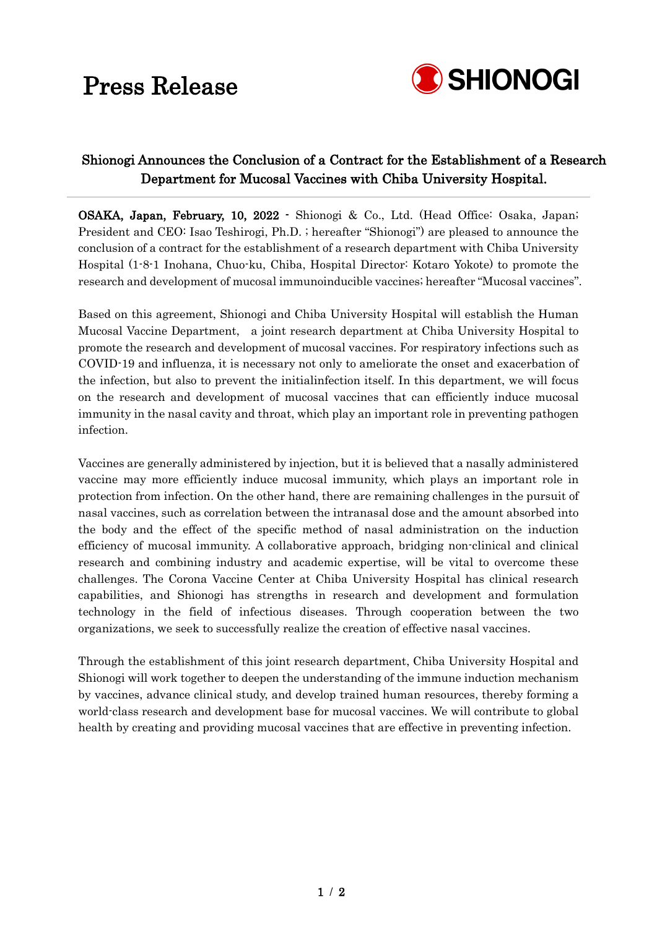# Press Release



 $\ddot{\phantom{0}}$ 

## Shionogi Announces the Conclusion of a Contract for the Establishment of a Research Department for Mucosal Vaccines with Chiba University Hospital.

OSAKA, Japan, February, 10, 2022 - Shionogi & Co., Ltd. (Head Office: Osaka, Japan; President and CEO: Isao Teshirogi, Ph.D. ; hereafter "Shionogi") are pleased to announce the conclusion of a contract for the establishment of a research department with Chiba University Hospital (1-8-1 Inohana, Chuo-ku, Chiba, Hospital Director: Kotaro Yokote) to promote the research and development of mucosal immunoinducible vaccines; hereafter "Mucosal vaccines".

Based on this agreement, Shionogi and Chiba University Hospital will establish the Human Mucosal Vaccine Department, a joint research department at Chiba University Hospital to promote the research and development of mucosal vaccines. For respiratory infections such as COVID-19 and influenza, it is necessary not only to ameliorate the onset and exacerbation of the infection, but also to prevent the initialinfection itself. In this department, we will focus on the research and development of mucosal vaccines that can efficiently induce mucosal immunity in the nasal cavity and throat, which play an important role in preventing pathogen infection.

Vaccines are generally administered by injection, but it is believed that a nasally administered vaccine may more efficiently induce mucosal immunity, which plays an important role in protection from infection. On the other hand, there are remaining challenges in the pursuit of nasal vaccines, such as correlation between the intranasal dose and the amount absorbed into the body and the effect of the specific method of nasal administration on the induction efficiency of mucosal immunity. A collaborative approach, bridging non-clinical and clinical research and combining industry and academic expertise, will be vital to overcome these challenges. The Corona Vaccine Center at Chiba University Hospital has clinical research capabilities, and Shionogi has strengths in research and development and formulation technology in the field of infectious diseases. Through cooperation between the two organizations, we seek to successfully realize the creation of effective nasal vaccines.

Through the establishment of this joint research department, Chiba University Hospital and Shionogi will work together to deepen the understanding of the immune induction mechanism by vaccines, advance clinical study, and develop trained human resources, thereby forming a world-class research and development base for mucosal vaccines. We will contribute to global health by creating and providing mucosal vaccines that are effective in preventing infection.